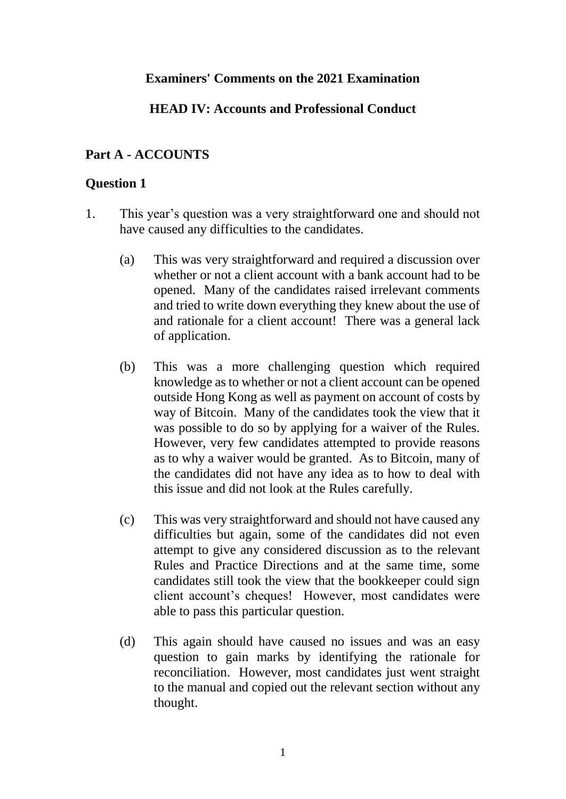### **Examiners' Comments on the 2021 Examination**

### **HEAD IV: Accounts and Professional Conduct**

#### **Part A - ACCOUNTS**

#### **Question 1**

- 1. This year's question was a very straightforward one and should not have caused any difficulties to the candidates.
	- (a) This was very straightforward and required a discussion over whether or not a client account with a bank account had to be opened. Many of the candidates raised irrelevant comments and tried to write down everything they knew about the use of and rationale for a client account! There was a general lack of application.
	- (b) This was a more challenging question which required knowledge as to whether or not a client account can be opened outside Hong Kong as well as payment on account of costs by way of Bitcoin. Many of the candidates took the view that it was possible to do so by applying for a waiver of the Rules. However, very few candidates attempted to provide reasons as to why a waiver would be granted. As to Bitcoin, many of the candidates did not have any idea as to how to deal with this issue and did not look at the Rules carefully.
	- (c) This was very straightforward and should not have caused any difficulties but again, some of the candidates did not even attempt to give any considered discussion as to the relevant Rules and Practice Directions and at the same time, some candidates still took the view that the bookkeeper could sign client account's cheques! However, most candidates were able to pass this particular question.
	- (d) This again should have caused no issues and was an easy question to gain marks by identifying the rationale for reconciliation. However, most candidates just went straight to the manual and copied out the relevant section without any thought.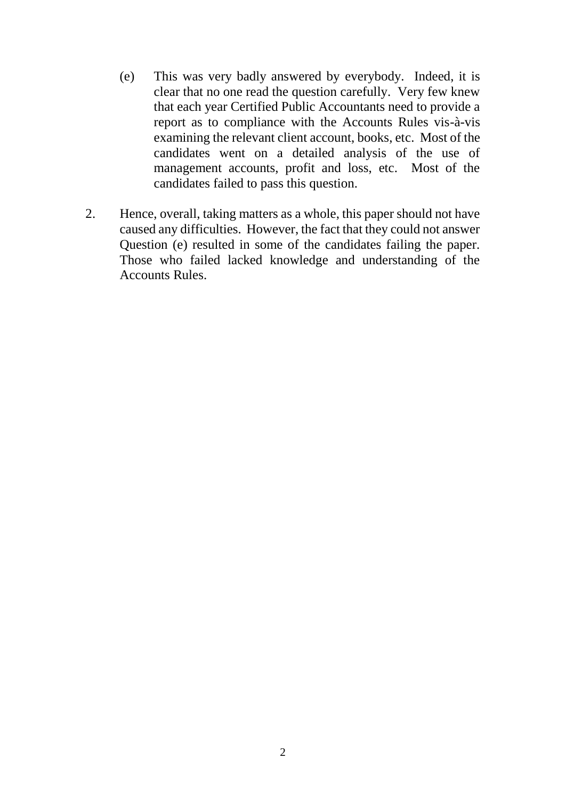- (e) This was very badly answered by everybody. Indeed, it is clear that no one read the question carefully. Very few knew that each year Certified Public Accountants need to provide a report as to compliance with the Accounts Rules vis-à-vis examining the relevant client account, books, etc. Most of the candidates went on a detailed analysis of the use of management accounts, profit and loss, etc. Most of the candidates failed to pass this question.
- 2. Hence, overall, taking matters as a whole, this paper should not have caused any difficulties. However, the fact that they could not answer Question (e) resulted in some of the candidates failing the paper. Those who failed lacked knowledge and understanding of the Accounts Rules.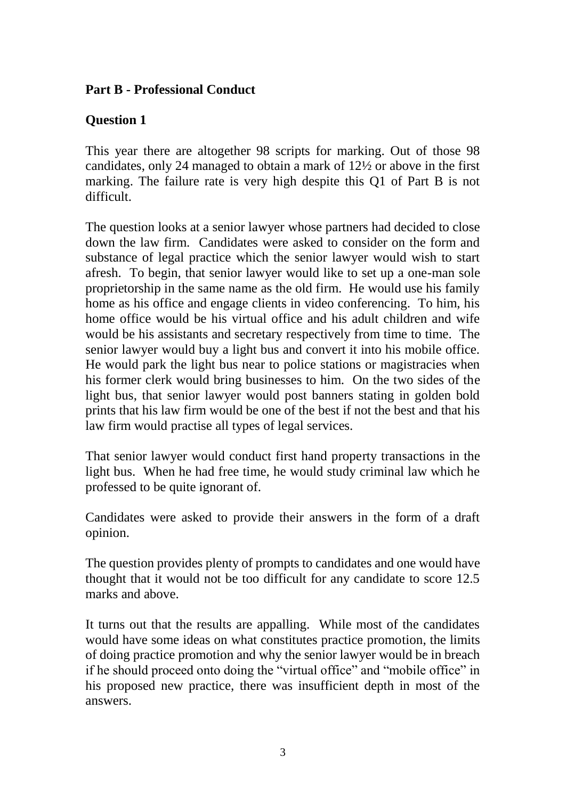## **Part B - Professional Conduct**

# **Question 1**

This year there are altogether 98 scripts for marking. Out of those 98 candidates, only 24 managed to obtain a mark of 12½ or above in the first marking. The failure rate is very high despite this Q1 of Part B is not difficult.

The question looks at a senior lawyer whose partners had decided to close down the law firm. Candidates were asked to consider on the form and substance of legal practice which the senior lawyer would wish to start afresh. To begin, that senior lawyer would like to set up a one-man sole proprietorship in the same name as the old firm. He would use his family home as his office and engage clients in video conferencing. To him, his home office would be his virtual office and his adult children and wife would be his assistants and secretary respectively from time to time. The senior lawyer would buy a light bus and convert it into his mobile office. He would park the light bus near to police stations or magistracies when his former clerk would bring businesses to him. On the two sides of the light bus, that senior lawyer would post banners stating in golden bold prints that his law firm would be one of the best if not the best and that his law firm would practise all types of legal services.

That senior lawyer would conduct first hand property transactions in the light bus. When he had free time, he would study criminal law which he professed to be quite ignorant of.

Candidates were asked to provide their answers in the form of a draft opinion.

The question provides plenty of prompts to candidates and one would have thought that it would not be too difficult for any candidate to score 12.5 marks and above.

It turns out that the results are appalling. While most of the candidates would have some ideas on what constitutes practice promotion, the limits of doing practice promotion and why the senior lawyer would be in breach if he should proceed onto doing the "virtual office" and "mobile office" in his proposed new practice, there was insufficient depth in most of the answers.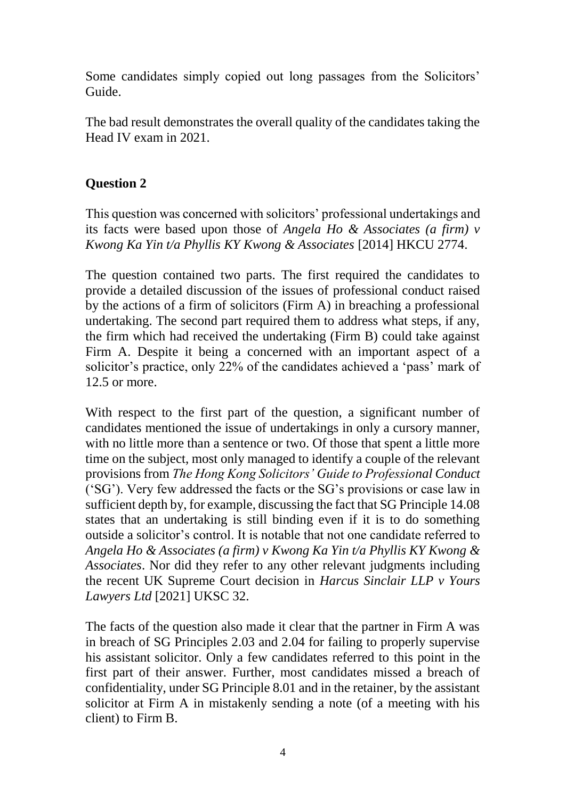Some candidates simply copied out long passages from the Solicitors' Guide.

The bad result demonstrates the overall quality of the candidates taking the Head IV exam in 2021.

# **Question 2**

This question was concerned with solicitors' professional undertakings and its facts were based upon those of *Angela Ho & Associates (a firm) v Kwong Ka Yin t/a Phyllis KY Kwong & Associates* [2014] HKCU 2774.

The question contained two parts. The first required the candidates to provide a detailed discussion of the issues of professional conduct raised by the actions of a firm of solicitors (Firm A) in breaching a professional undertaking. The second part required them to address what steps, if any, the firm which had received the undertaking (Firm B) could take against Firm A. Despite it being a concerned with an important aspect of a solicitor's practice, only 22% of the candidates achieved a 'pass' mark of 12.5 or more.

With respect to the first part of the question, a significant number of candidates mentioned the issue of undertakings in only a cursory manner, with no little more than a sentence or two. Of those that spent a little more time on the subject, most only managed to identify a couple of the relevant provisions from *The Hong Kong Solicitors' Guide to Professional Conduct* ('SG'). Very few addressed the facts or the SG's provisions or case law in sufficient depth by, for example, discussing the fact that SG Principle 14.08 states that an undertaking is still binding even if it is to do something outside a solicitor's control. It is notable that not one candidate referred to *Angela Ho & Associates (a firm) v Kwong Ka Yin t/a Phyllis KY Kwong & Associates*. Nor did they refer to any other relevant judgments including the recent UK Supreme Court decision in *Harcus Sinclair LLP v Yours Lawyers Ltd* [2021] UKSC 32.

The facts of the question also made it clear that the partner in Firm A was in breach of SG Principles 2.03 and 2.04 for failing to properly supervise his assistant solicitor. Only a few candidates referred to this point in the first part of their answer. Further, most candidates missed a breach of confidentiality, under SG Principle 8.01 and in the retainer, by the assistant solicitor at Firm A in mistakenly sending a note (of a meeting with his client) to Firm B.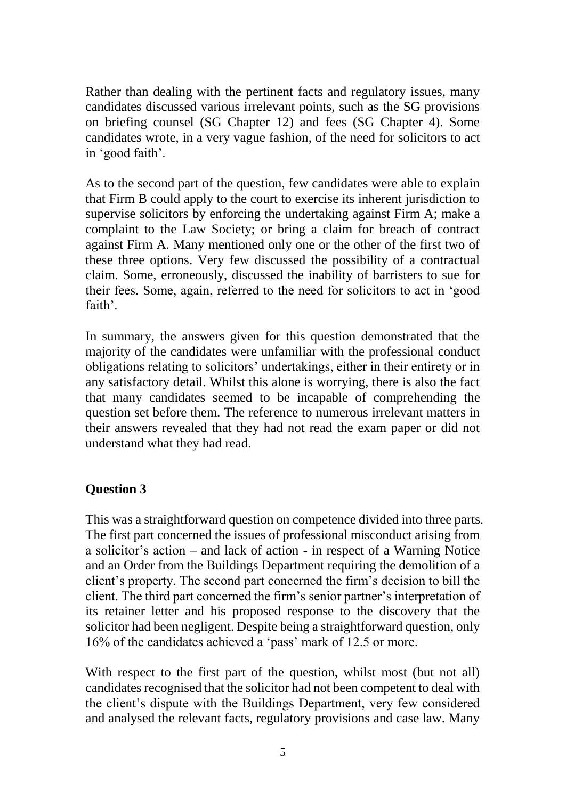Rather than dealing with the pertinent facts and regulatory issues, many candidates discussed various irrelevant points, such as the SG provisions on briefing counsel (SG Chapter 12) and fees (SG Chapter 4). Some candidates wrote, in a very vague fashion, of the need for solicitors to act in 'good faith'.

As to the second part of the question, few candidates were able to explain that Firm B could apply to the court to exercise its inherent jurisdiction to supervise solicitors by enforcing the undertaking against Firm A; make a complaint to the Law Society; or bring a claim for breach of contract against Firm A. Many mentioned only one or the other of the first two of these three options. Very few discussed the possibility of a contractual claim. Some, erroneously, discussed the inability of barristers to sue for their fees. Some, again, referred to the need for solicitors to act in 'good faith'.

In summary, the answers given for this question demonstrated that the majority of the candidates were unfamiliar with the professional conduct obligations relating to solicitors' undertakings, either in their entirety or in any satisfactory detail. Whilst this alone is worrying, there is also the fact that many candidates seemed to be incapable of comprehending the question set before them. The reference to numerous irrelevant matters in their answers revealed that they had not read the exam paper or did not understand what they had read.

### **Question 3**

This was a straightforward question on competence divided into three parts. The first part concerned the issues of professional misconduct arising from a solicitor's action – and lack of action - in respect of a Warning Notice and an Order from the Buildings Department requiring the demolition of a client's property. The second part concerned the firm's decision to bill the client. The third part concerned the firm's senior partner's interpretation of its retainer letter and his proposed response to the discovery that the solicitor had been negligent. Despite being a straightforward question, only 16% of the candidates achieved a 'pass' mark of 12.5 or more.

With respect to the first part of the question, whilst most (but not all) candidates recognised that the solicitor had not been competent to deal with the client's dispute with the Buildings Department, very few considered and analysed the relevant facts, regulatory provisions and case law. Many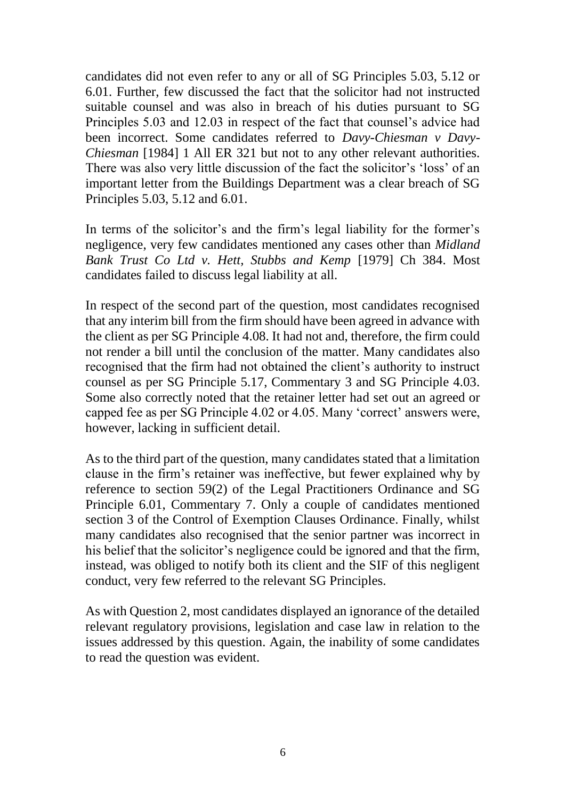candidates did not even refer to any or all of SG Principles 5.03, 5.12 or 6.01. Further, few discussed the fact that the solicitor had not instructed suitable counsel and was also in breach of his duties pursuant to SG Principles 5.03 and 12.03 in respect of the fact that counsel's advice had been incorrect. Some candidates referred to *Davy-Chiesman v Davy-Chiesman* [1984] 1 All ER 321 but not to any other relevant authorities. There was also very little discussion of the fact the solicitor's 'loss' of an important letter from the Buildings Department was a clear breach of SG Principles 5.03, 5.12 and 6.01.

In terms of the solicitor's and the firm's legal liability for the former's negligence, very few candidates mentioned any cases other than *Midland Bank Trust Co Ltd v. Hett, Stubbs and Kemp* [1979] Ch 384. Most candidates failed to discuss legal liability at all.

In respect of the second part of the question, most candidates recognised that any interim bill from the firm should have been agreed in advance with the client as per SG Principle 4.08. It had not and, therefore, the firm could not render a bill until the conclusion of the matter. Many candidates also recognised that the firm had not obtained the client's authority to instruct counsel as per SG Principle 5.17, Commentary 3 and SG Principle 4.03. Some also correctly noted that the retainer letter had set out an agreed or capped fee as per SG Principle 4.02 or 4.05. Many 'correct' answers were, however, lacking in sufficient detail.

As to the third part of the question, many candidates stated that a limitation clause in the firm's retainer was ineffective, but fewer explained why by reference to section 59(2) of the Legal Practitioners Ordinance and SG Principle 6.01, Commentary 7. Only a couple of candidates mentioned section 3 of the Control of Exemption Clauses Ordinance. Finally, whilst many candidates also recognised that the senior partner was incorrect in his belief that the solicitor's negligence could be ignored and that the firm, instead, was obliged to notify both its client and the SIF of this negligent conduct, very few referred to the relevant SG Principles.

As with Question 2, most candidates displayed an ignorance of the detailed relevant regulatory provisions, legislation and case law in relation to the issues addressed by this question. Again, the inability of some candidates to read the question was evident.